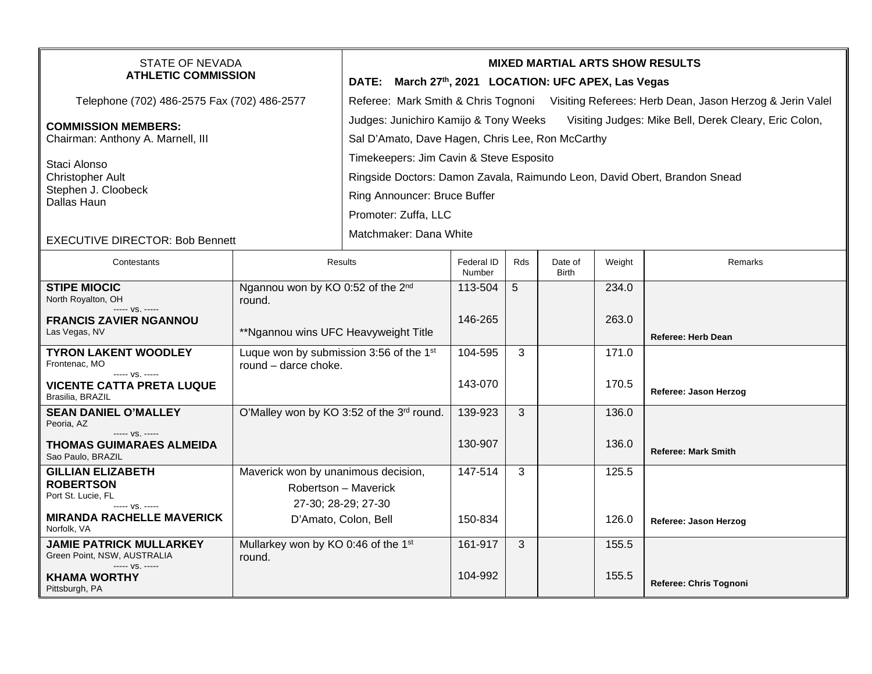| STATE OF NEVADA<br><b>ATHLETIC COMMISSION</b>                                                              |                                                                                    | <b>MIXED MARTIAL ARTS SHOW RESULTS</b><br>DATE: March 27th, 2021 LOCATION: UFC APEX, Las Vegas                                                                                                                                                                             |                      |            |                         |        |                            |  |
|------------------------------------------------------------------------------------------------------------|------------------------------------------------------------------------------------|----------------------------------------------------------------------------------------------------------------------------------------------------------------------------------------------------------------------------------------------------------------------------|----------------------|------------|-------------------------|--------|----------------------------|--|
| Telephone (702) 486-2575 Fax (702) 486-2577                                                                |                                                                                    | Referee: Mark Smith & Chris Tognoni Visiting Referees: Herb Dean, Jason Herzog & Jerin Valel                                                                                                                                                                               |                      |            |                         |        |                            |  |
| <b>COMMISSION MEMBERS:</b><br>Chairman: Anthony A. Marnell, III<br>Staci Alonso<br><b>Christopher Ault</b> |                                                                                    | Judges: Junichiro Kamijo & Tony Weeks<br>Visiting Judges: Mike Bell, Derek Cleary, Eric Colon,<br>Sal D'Amato, Dave Hagen, Chris Lee, Ron McCarthy<br>Timekeepers: Jim Cavin & Steve Esposito<br>Ringside Doctors: Damon Zavala, Raimundo Leon, David Obert, Brandon Snead |                      |            |                         |        |                            |  |
| Stephen J. Cloobeck<br>Dallas Haun                                                                         |                                                                                    | Ring Announcer: Bruce Buffer<br>Promoter: Zuffa, LLC                                                                                                                                                                                                                       |                      |            |                         |        |                            |  |
| <b>EXECUTIVE DIRECTOR: Bob Bennett</b>                                                                     |                                                                                    | Matchmaker: Dana White                                                                                                                                                                                                                                                     |                      |            |                         |        |                            |  |
| Contestants                                                                                                |                                                                                    | <b>Results</b>                                                                                                                                                                                                                                                             | Federal ID<br>Number | <b>Rds</b> | Date of<br><b>Birth</b> | Weight | Remarks                    |  |
| <b>STIPE MIOCIC</b><br>North Royalton, OH<br>----- VS. -----                                               | Ngannou won by KO 0:52 of the 2 <sup>nd</sup><br>round.                            |                                                                                                                                                                                                                                                                            | 113-504              | 5          |                         | 234.0  |                            |  |
| <b>FRANCIS ZAVIER NGANNOU</b><br>Las Vegas, NV                                                             | **Ngannou wins UFC Heavyweight Title                                               |                                                                                                                                                                                                                                                                            | 146-265              |            |                         | 263.0  | <b>Referee: Herb Dean</b>  |  |
| <b>TYRON LAKENT WOODLEY</b><br>Frontenac, MO<br>----- VS. -----                                            | Luque won by submission 3:56 of the 1 <sup>st</sup><br>round - darce choke.        |                                                                                                                                                                                                                                                                            | 104-595              | 3          |                         | 171.0  |                            |  |
| <b>VICENTE CATTA PRETA LUQUE</b><br>Brasilia, BRAZIL                                                       |                                                                                    |                                                                                                                                                                                                                                                                            | 143-070              |            |                         | 170.5  | Referee: Jason Herzog      |  |
| <b>SEAN DANIEL O'MALLEY</b><br>Peoria, AZ                                                                  |                                                                                    | O'Malley won by KO 3:52 of the 3rd round.                                                                                                                                                                                                                                  | 139-923              | 3          |                         | 136.0  |                            |  |
| ----- VS. -----<br>THOMAS GUIMARAES ALMEIDA<br>Sao Paulo, BRAZIL                                           |                                                                                    |                                                                                                                                                                                                                                                                            | 130-907              |            |                         | 136.0  | <b>Referee: Mark Smith</b> |  |
| <b>GILLIAN ELIZABETH</b><br><b>ROBERTSON</b><br>Port St. Lucie, FL<br>----- VS. -----                      | Maverick won by unanimous decision,<br>Robertson - Maverick<br>27-30; 28-29; 27-30 |                                                                                                                                                                                                                                                                            | 147-514              | 3          |                         | 125.5  |                            |  |
| <b>MIRANDA RACHELLE MAVERICK</b><br>Norfolk, VA                                                            |                                                                                    | D'Amato, Colon, Bell                                                                                                                                                                                                                                                       | 150-834              |            |                         | 126.0  | Referee: Jason Herzog      |  |
| <b>JAMIE PATRICK MULLARKEY</b><br>Green Point, NSW, AUSTRALIA<br>----- VS. -----                           | Mullarkey won by KO 0:46 of the 1st<br>round.                                      |                                                                                                                                                                                                                                                                            | 161-917              | 3          |                         | 155.5  |                            |  |
| <b>KHAMA WORTHY</b><br>Pittsburgh, PA                                                                      |                                                                                    |                                                                                                                                                                                                                                                                            | 104-992              |            |                         | 155.5  | Referee: Chris Tognoni     |  |